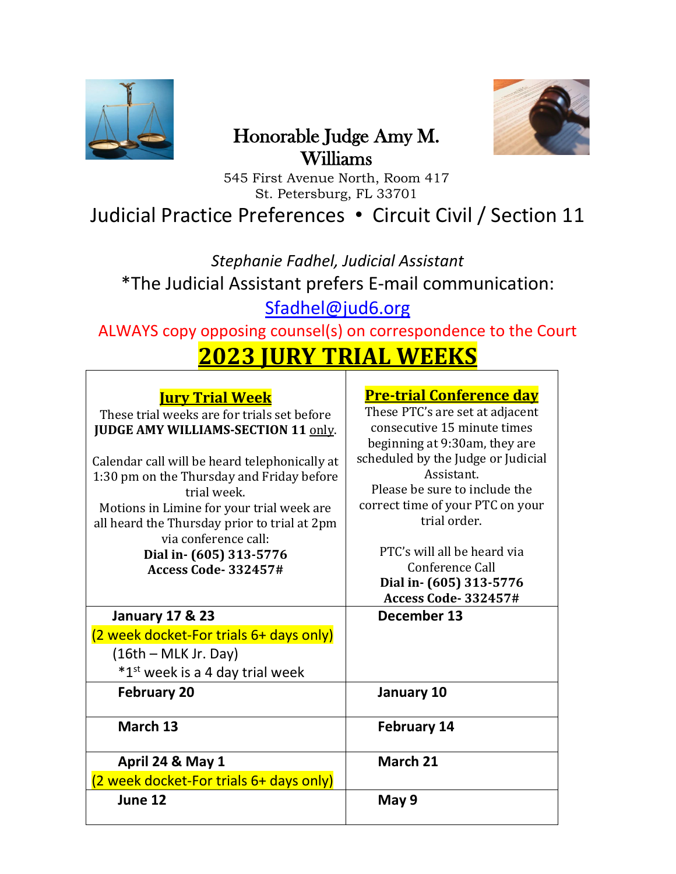

## Honorable Judge Amy M. Williams



545 First Avenue North, Room 417 St. Petersburg, FL 33701

Judicial Practice Preferences • Circuit Civil / Section 11

*Stephanie Fadhel, Judicial Assistant* \*The Judicial Assistant prefers E-mail communication: [Sfadhel@jud6.org](mailto:Sfadhel@jud6.org)

ALWAYS copy opposing counsel(s) on correspondence to the Court

# **2023 JURY TRIAL WEEKS**

| <b><u>Jury Trial Week</u></b>                 | <b>Pre-trial Conference day</b>    |
|-----------------------------------------------|------------------------------------|
| These trial weeks are for trials set before   | These PTC's are set at adjacent    |
| <b>JUDGE AMY WILLIAMS-SECTION 11 only.</b>    | consecutive 15 minute times        |
|                                               | beginning at 9:30am, they are      |
| Calendar call will be heard telephonically at | scheduled by the Judge or Judicial |
| 1:30 pm on the Thursday and Friday before     | Assistant.                         |
| trial week.                                   | Please be sure to include the      |
| Motions in Limine for your trial week are     | correct time of your PTC on your   |
| all heard the Thursday prior to trial at 2pm  | trial order.                       |
| via conference call:                          |                                    |
| Dial in- (605) 313-5776                       | PTC's will all be heard via        |
| <b>Access Code-332457#</b>                    | Conference Call                    |
|                                               | Dial in- (605) 313-5776            |
|                                               |                                    |
|                                               | <b>Access Code-332457#</b>         |
| <b>January 17 &amp; 23</b>                    | December 13                        |
| (2 week docket-For trials 6+ days only)       |                                    |
| $(16th - MLK Jr. Day)$                        |                                    |
| *1 <sup>st</sup> week is a 4 day trial week   |                                    |
| <b>February 20</b>                            | January 10                         |
| March 13                                      | <b>February 14</b>                 |
| April 24 & May 1                              | March 21                           |
| (2 week docket-For trials 6+ days only)       |                                    |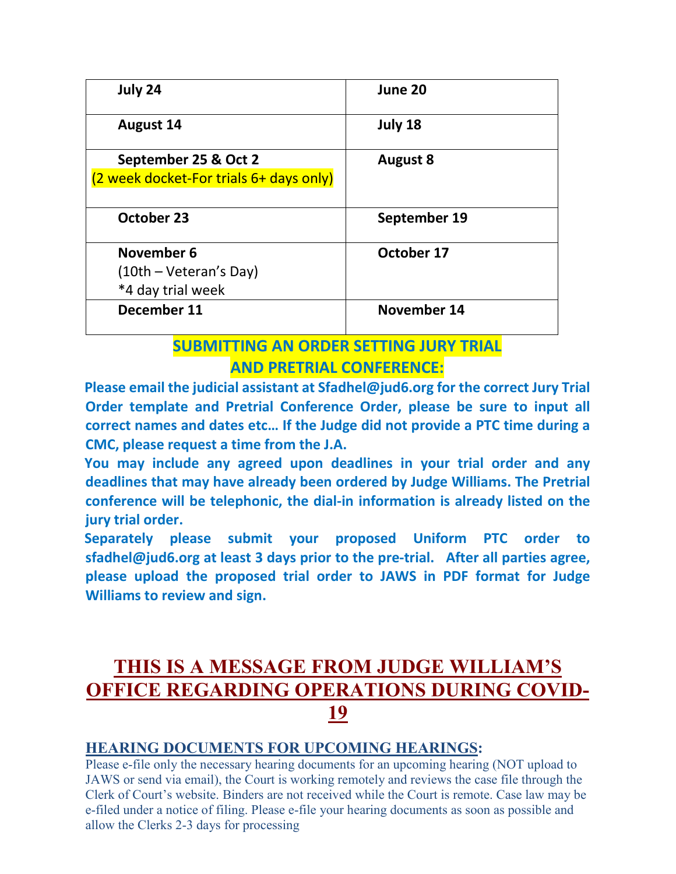| July 24                                                         | June 20         |
|-----------------------------------------------------------------|-----------------|
| <b>August 14</b>                                                | July 18         |
| September 25 & Oct 2<br>(2 week docket-For trials 6+ days only) | <b>August 8</b> |
| October 23                                                      | September 19    |
| November 6<br>$(10th - Veteran's Day)$<br>*4 day trial week     | October 17      |
| December 11                                                     | November 14     |

## **SUBMITTING AN ORDER SETTING JURY TRIAL AND PRETRIAL CONFERENCE:**

**Please email the judicial assistant at [Sfadhel@jud6.org](mailto:Sfadhel@jud6.org) for the correct Jury Trial Order template and Pretrial Conference Order, please be sure to input all correct names and dates etc… If the Judge did not provide a PTC time during a CMC, please request a time from the J.A.**

**You may include any agreed upon deadlines in your trial order and any deadlines that may have already been ordered by Judge Williams. The Pretrial conference will be telephonic, the dial-in information is already listed on the jury trial order.**

**Separately please submit your proposed Uniform PTC order to sfadhel@jud6.org at least 3 days prior to the pre-trial. After all parties agree, please upload the proposed trial order to JAWS in PDF format for Judge Williams to review and sign.**

## **THIS IS A MESSAGE FROM JUDGE WILLIAM'S OFFICE REGARDING OPERATIONS DURING COVID-19**

#### **HEARING DOCUMENTS FOR UPCOMING HEARINGS:**

Please e-file only the necessary hearing documents for an upcoming hearing (NOT upload to JAWS or send via email), the Court is working remotely and reviews the case file through the Clerk of Court's website. Binders are not received while the Court is remote. Case law may be e-filed under a notice of filing. Please e-file your hearing documents as soon as possible and allow the Clerks 2-3 days for processing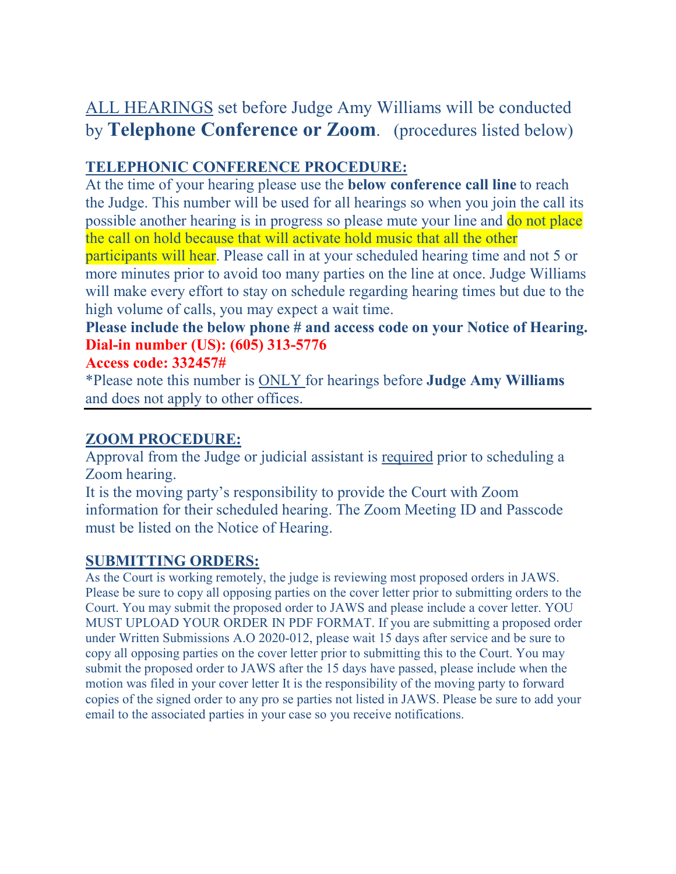## ALL HEARINGS set before Judge Amy Williams will be conducted by **Telephone Conference or Zoom**. (procedures listed below)

#### **TELEPHONIC CONFERENCE PROCEDURE:**

At the time of your hearing please use the **below conference call line** to reach the Judge. This number will be used for all hearings so when you join the call its possible another hearing is in progress so please mute your line and do not place the call on hold because that will activate hold music that all the other

participants will hear. Please call in at your scheduled hearing time and not 5 or more minutes prior to avoid too many parties on the line at once. Judge Williams will make every effort to stay on schedule regarding hearing times but due to the high volume of calls, you may expect a wait time.

### **Please include the below phone # and access code on your Notice of Hearing. Dial-in number (US): (605) 313-5776**

#### **Access code: 332457#**

\*Please note this number is ONLY for hearings before **Judge Amy Williams** and does not apply to other offices.

#### **ZOOM PROCEDURE:**

Approval from the Judge or judicial assistant is required prior to scheduling a Zoom hearing.

It is the moving party's responsibility to provide the Court with Zoom information for their scheduled hearing. The Zoom Meeting ID and Passcode must be listed on the Notice of Hearing.

#### **SUBMITTING ORDERS:**

As the Court is working remotely, the judge is reviewing most proposed orders in JAWS. Please be sure to copy all opposing parties on the cover letter prior to submitting orders to the Court. You may submit the proposed order to JAWS and please include a cover letter. YOU MUST UPLOAD YOUR ORDER IN PDF FORMAT. If you are submitting a proposed order under Written Submissions A.O 2020-012, please wait 15 days after service and be sure to copy all opposing parties on the cover letter prior to submitting this to the Court. You may submit the proposed order to JAWS after the 15 days have passed, please include when the motion was filed in your cover letter It is the responsibility of the moving party to forward copies of the signed order to any pro se parties not listed in JAWS. Please be sure to add your email to the associated parties in your case so you receive notifications.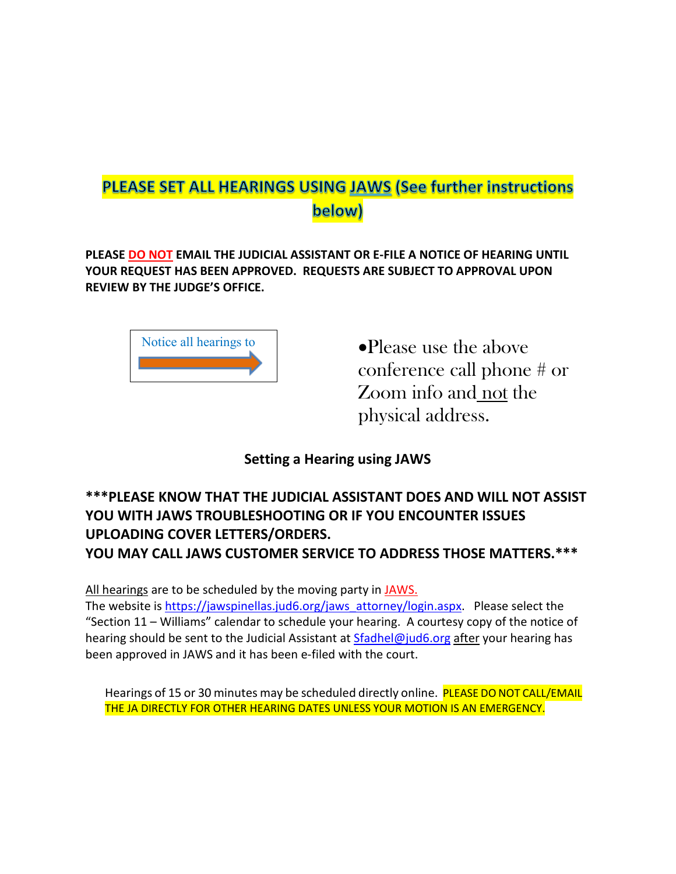## PLEASE SET ALL HEARINGS USING JAWS (See further instructions below)

**PLEASE DO NOT EMAIL THE JUDICIAL ASSISTANT OR E-FILE A NOTICE OF HEARING UNTIL YOUR REQUEST HAS BEEN APPROVED. REQUESTS ARE SUBJECT TO APPROVAL UPON REVIEW BY THE JUDGE'S OFFICE.**



•Please use the above conference call phone # or Zoom info and not the physical address.

#### **Setting a Hearing using JAWS**

#### **\*\*\*PLEASE KNOW THAT THE JUDICIAL ASSISTANT DOES AND WILL NOT ASSIST YOU WITH JAWS TROUBLESHOOTING OR IF YOU ENCOUNTER ISSUES UPLOADING COVER LETTERS/ORDERS. YOU MAY CALL JAWS CUSTOMER SERVICE TO ADDRESS THOSE MATTERS.\*\*\***

All hearings are to be scheduled by the moving party in JAWS.

The website is [https://jawspinellas.jud6.org/jaws\\_attorney/login.aspx.](https://jawspinellas.jud6.org/jaws_attorney/login.aspx) Please select the "Section 11 – Williams" calendar to schedule your hearing. A courtesy copy of the notice of hearing should be sent to the Judicial Assistant at [Sfadhel@jud6.org](mailto:Sfadhel@jud6.org) after your hearing has been approved in JAWS and it has been e-filed with the court.

Hearings of 15 or 30 minutes may be scheduled directly online. PLEASE DO NOT CALL/EMAIL THE JA DIRECTLY FOR OTHER HEARING DATES UNLESS YOUR MOTION IS AN EMERGENCY.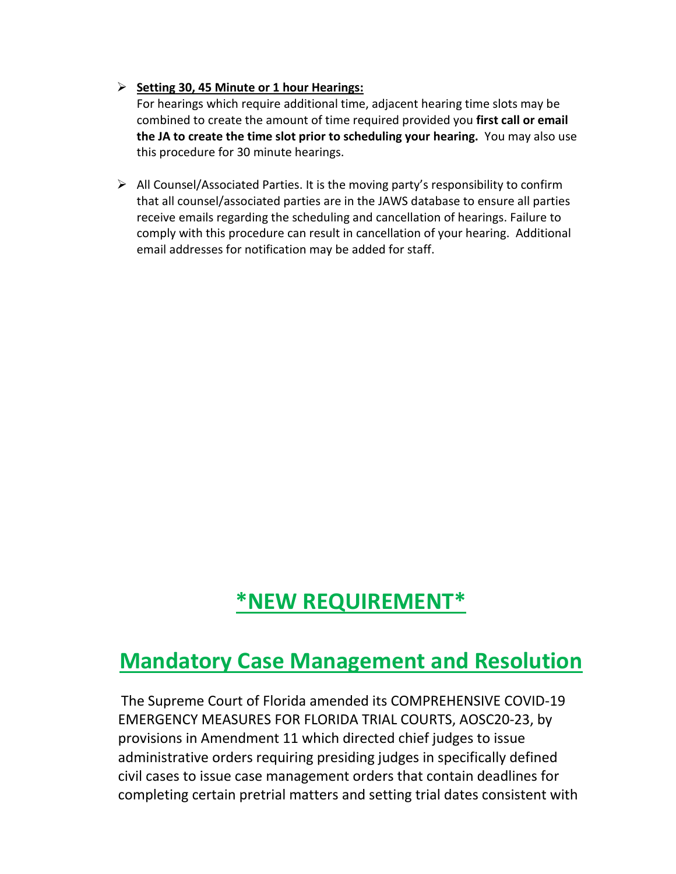#### **Setting 30, 45 Minute or 1 hour Hearings:**

For hearings which require additional time, adjacent hearing time slots may be combined to create the amount of time required provided you **first call or email the JA to create the time slot prior to scheduling your hearing.** You may also use this procedure for 30 minute hearings.

 $\triangleright$  All Counsel/Associated Parties. It is the moving party's responsibility to confirm that all counsel/associated parties are in the JAWS database to ensure all parties receive emails regarding the scheduling and cancellation of hearings. Failure to comply with this procedure can result in cancellation of your hearing. Additional email addresses for notification may be added for staff.

## **\*NEW REQUIREMENT\***

## **Mandatory Case Management and Resolution**

The Supreme Court of Florida amended its COMPREHENSIVE COVID-19 EMERGENCY MEASURES FOR FLORIDA TRIAL COURTS, AOSC20-23, by provisions in Amendment 11 which directed chief judges to issue administrative orders requiring presiding judges in specifically defined civil cases to issue case management orders that contain deadlines for completing certain pretrial matters and setting trial dates consistent with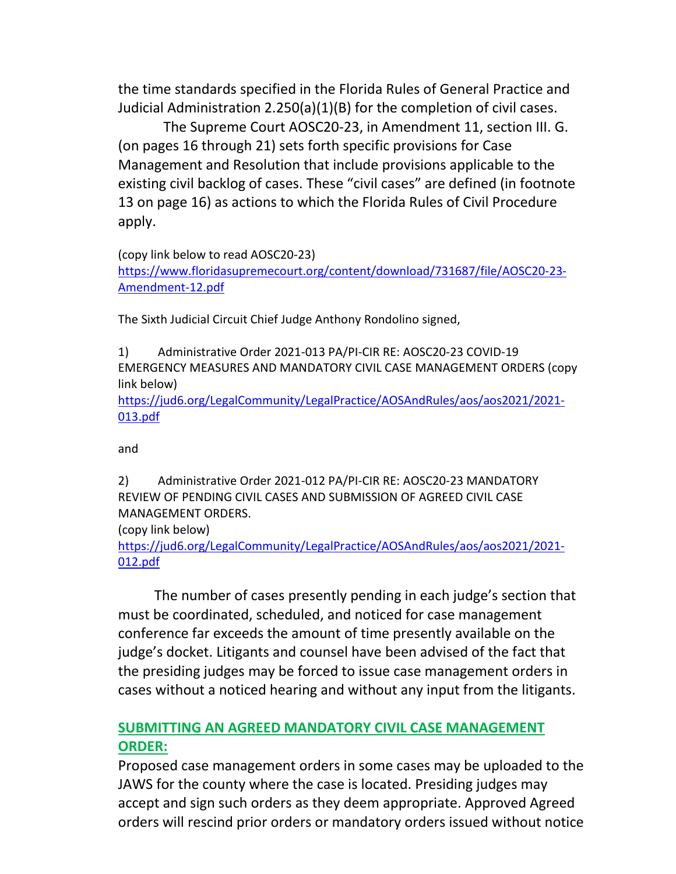the time standards specified in the Florida Rules of General Practice and Judicial Administration 2.250(a)(1)(B) for the completion of civil cases.

 The Supreme Court AOSC20-23, in Amendment 11, section III. G. (on pages 16 through 21) sets forth specific provisions for Case Management and Resolution that include provisions applicable to the existing civil backlog of cases. These "civil cases" are defined (in footnote 13 on page 16) as actions to which the Florida Rules of Civil Procedure apply.

(copy link below to read AOSC20-23)

[https://www.floridasupremecourt.org/content/download/731687/file/AOSC20-23-](https://www.floridasupremecourt.org/content/download/731687/file/AOSC20-23-Amendment-12.pdf) [Amendment-12.pdf](https://www.floridasupremecourt.org/content/download/731687/file/AOSC20-23-Amendment-12.pdf)

The Sixth Judicial Circuit Chief Judge Anthony Rondolino signed,

1) Administrative Order 2021-013 PA/PI-CIR RE: AOSC20-23 COVID-19 EMERGENCY MEASURES AND MANDATORY CIVIL CASE MANAGEMENT ORDERS (copy link below)

[https://jud6.org/LegalCommunity/LegalPractice/AOSAndRules/aos/aos2021/2021-](https://jud6.org/LegalCommunity/LegalPractice/AOSAndRules/aos/aos2021/2021-013.pdf) [013.pdf](https://jud6.org/LegalCommunity/LegalPractice/AOSAndRules/aos/aos2021/2021-013.pdf)

and

2) Administrative Order 2021-012 PA/PI-CIR RE: AOSC20-23 MANDATORY REVIEW OF PENDING CIVIL CASES AND SUBMISSION OF AGREED CIVIL CASE MANAGEMENT ORDERS.

(copy link below)

[https://jud6.org/LegalCommunity/LegalPractice/AOSAndRules/aos/aos2021/2021-](https://jud6.org/LegalCommunity/LegalPractice/AOSAndRules/aos/aos2021/2021-012.pdf) [012.pdf](https://jud6.org/LegalCommunity/LegalPractice/AOSAndRules/aos/aos2021/2021-012.pdf)

 The number of cases presently pending in each judge's section that must be coordinated, scheduled, and noticed for case management conference far exceeds the amount of time presently available on the judge's docket. Litigants and counsel have been advised of the fact that the presiding judges may be forced to issue case management orders in cases without a noticed hearing and without any input from the litigants.

#### **SUBMITTING AN AGREED MANDATORY CIVIL CASE MANAGEMENT ORDER:**

Proposed case management orders in some cases may be uploaded to the JAWS for the county where the case is located. Presiding judges may accept and sign such orders as they deem appropriate. Approved Agreed orders will rescind prior orders or mandatory orders issued without notice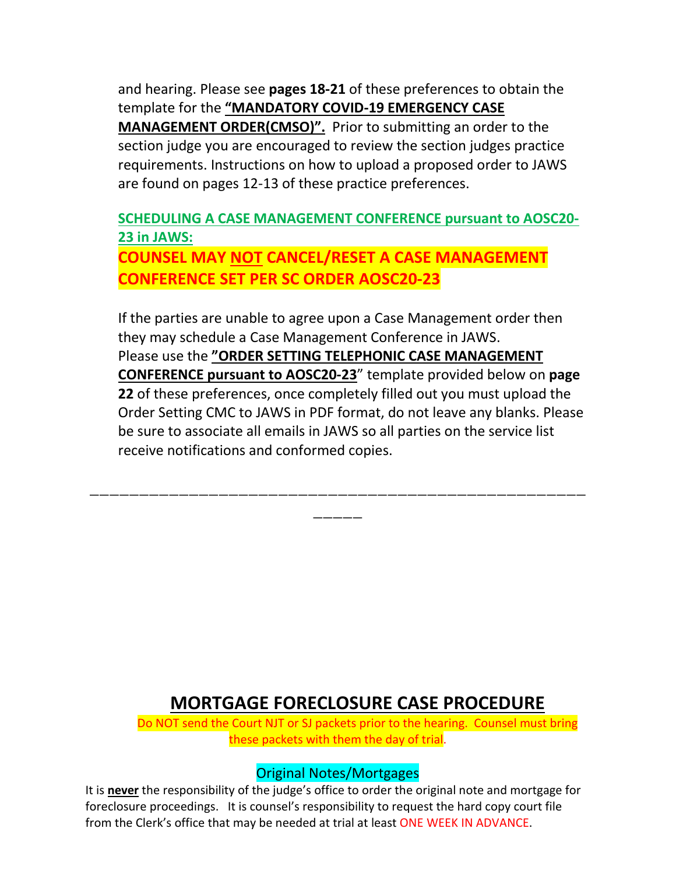and hearing. Please see **pages 18-21** of these preferences to obtain the template for the **"MANDATORY COVID-19 EMERGENCY CASE MANAGEMENT ORDER(CMSO)".** Prior to submitting an order to the section judge you are encouraged to review the section judges practice requirements. Instructions on how to upload a proposed order to JAWS are found on pages 12-13 of these practice preferences.

### **SCHEDULING A CASE MANAGEMENT CONFERENCE pursuant to AOSC20- 23 in JAWS: COUNSEL MAY NOT CANCEL/RESET A CASE MANAGEMENT CONFERENCE SET PER SC ORDER AOSC20-23**

If the parties are unable to agree upon a Case Management order then they may schedule a Case Management Conference in JAWS. Please use the **"ORDER SETTING TELEPHONIC CASE MANAGEMENT CONFERENCE pursuant to AOSC20-23**" template provided below on **page 22** of these preferences, once completely filled out you must upload the Order Setting CMC to JAWS in PDF format, do not leave any blanks. Please be sure to associate all emails in JAWS so all parties on the service list receive notifications and conformed copies.

\_\_\_\_\_\_\_\_\_\_\_\_\_\_\_\_\_\_\_\_\_\_\_\_\_\_\_\_\_\_\_\_\_\_\_\_\_\_\_\_\_\_\_\_\_\_\_\_\_\_

\_\_\_\_\_\_

## **MORTGAGE FORECLOSURE CASE PROCEDURE**

Do NOT send the Court NJT or SJ packets prior to the hearing. Counsel must bring these packets with them the day of trial.

### Original Notes/Mortgages

It is **never** the responsibility of the judge's office to order the original note and mortgage for foreclosure proceedings. It is counsel's responsibility to request the hard copy court file from the Clerk's office that may be needed at trial at least ONE WEEK IN ADVANCE.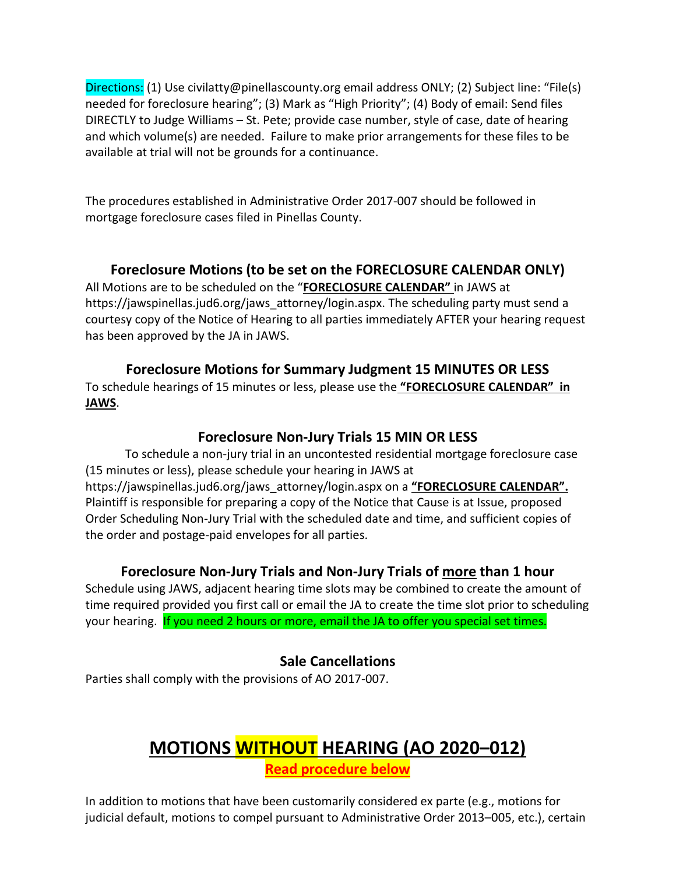Directions: (1) Use civilatty@pinellascounty.org email address ONLY; (2) Subject line: "File(s) needed for foreclosure hearing"; (3) Mark as "High Priority"; (4) Body of email: Send files DIRECTLY to Judge Williams – St. Pete; provide case number, style of case, date of hearing and which volume(s) are needed. Failure to make prior arrangements for these files to be available at trial will not be grounds for a continuance.

The procedures established in Administrative Order 2017-007 should be followed in mortgage foreclosure cases filed in Pinellas County.

#### **Foreclosure Motions (to be set on the FORECLOSURE CALENDAR ONLY)**

All Motions are to be scheduled on the "**FORECLOSURE CALENDAR"** in JAWS at https://jawspinellas.jud6.org/jaws\_attorney/login.aspx. The scheduling party must send a courtesy copy of the Notice of Hearing to all parties immediately AFTER your hearing request has been approved by the JA in JAWS.

#### **Foreclosure Motions for Summary Judgment 15 MINUTES OR LESS**

To schedule hearings of 15 minutes or less, please use the **"FORECLOSURE CALENDAR" in JAWS**.

#### **Foreclosure Non-Jury Trials 15 MIN OR LESS**

To schedule a non-jury trial in an uncontested residential mortgage foreclosure case (15 minutes or less), please schedule your hearing in JAWS at https://jawspinellas.jud6.org/jaws\_attorney/login.aspx on a **"FORECLOSURE CALENDAR".** Plaintiff is responsible for preparing a copy of the Notice that Cause is at Issue, proposed Order Scheduling Non-Jury Trial with the scheduled date and time, and sufficient copies of the order and postage-paid envelopes for all parties.

#### **Foreclosure Non-Jury Trials and Non-Jury Trials of more than 1 hour**

Schedule using JAWS, adjacent hearing time slots may be combined to create the amount of time required provided you first call or email the JA to create the time slot prior to scheduling your hearing. If you need 2 hours or more, email the JA to offer you special set times.

#### **Sale Cancellations**

Parties shall comply with the provisions of AO 2017-007.

## **MOTIONS WITHOUT HEARING (AO 2020–012) Read procedure below**

In addition to motions that have been customarily considered ex parte (e.g., motions for judicial default, motions to compel pursuant to Administrative Order 2013–005, etc.), certain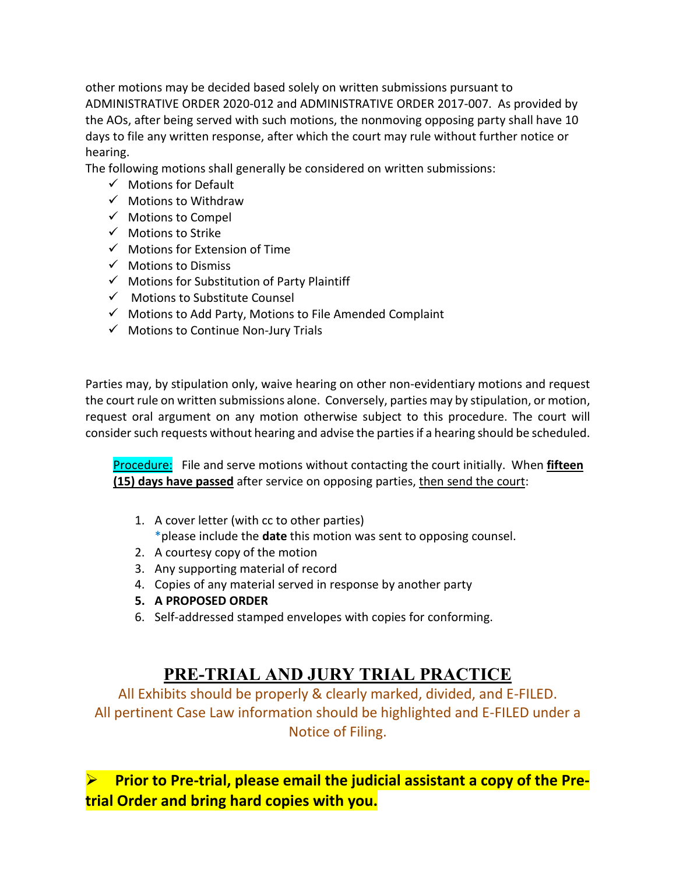other motions may be decided based solely on written submissions pursuant to ADMINISTRATIVE ORDER 2020-012 and ADMINISTRATIVE ORDER 2017-007. As provided by the AOs, after being served with such motions, the nonmoving opposing party shall have 10 days to file any written response, after which the court may rule without further notice or hearing.

The following motions shall generally be considered on written submissions:

- $\checkmark$  Motions for Default
- $\checkmark$  Motions to Withdraw
- $\checkmark$  Motions to Compel
- $\checkmark$  Motions to Strike
- $\checkmark$  Motions for Extension of Time
- $\checkmark$  Motions to Dismiss
- $\checkmark$  Motions for Substitution of Party Plaintiff
- $\checkmark$  Motions to Substitute Counsel
- $\checkmark$  Motions to Add Party, Motions to File Amended Complaint
- $\checkmark$  Motions to Continue Non-Jury Trials

Parties may, by stipulation only, waive hearing on other non-evidentiary motions and request the court rule on written submissions alone. Conversely, parties may by stipulation, or motion, request oral argument on any motion otherwise subject to this procedure. The court will consider such requests without hearing and advise the parties if a hearing should be scheduled.

Procedure: File and serve motions without contacting the court initially. When **fifteen (15) days have passed** after service on opposing parties, then send the court:

- 1. A cover letter (with cc to other parties) \*please include the **date** this motion was sent to opposing counsel.
- 2. A courtesy copy of the motion
- 3. Any supporting material of record
- 4. Copies of any material served in response by another party
- **5. A PROPOSED ORDER**
- 6. Self-addressed stamped envelopes with copies for conforming.

## **PRE-TRIAL AND JURY TRIAL PRACTICE**

All Exhibits should be properly & clearly marked, divided, and E-FILED. All pertinent Case Law information should be highlighted and E-FILED under a Notice of Filing.

 **Prior to Pre-trial, please email the judicial assistant a copy of the Pretrial Order and bring hard copies with you.**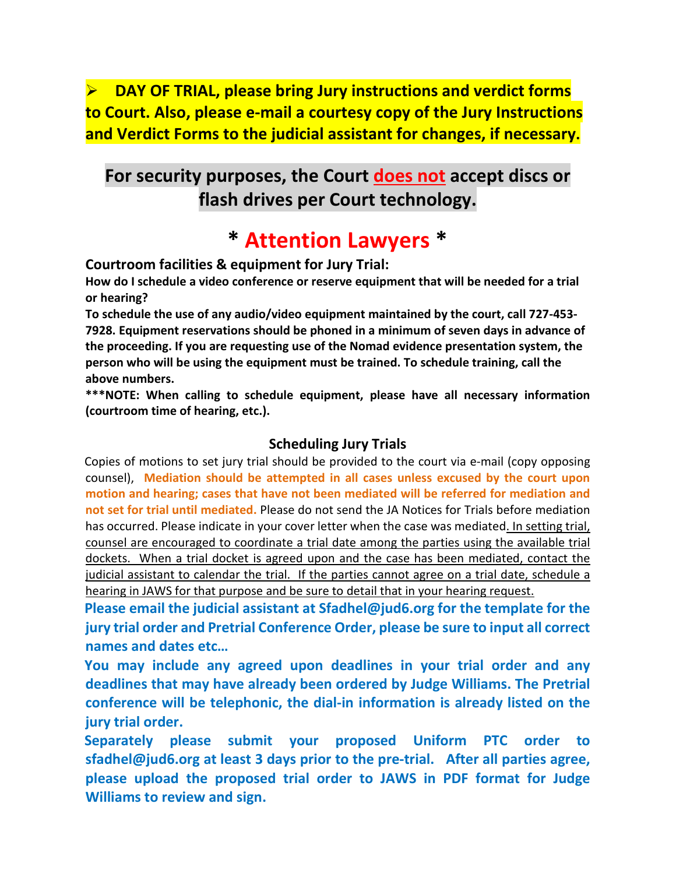**DAY OF TRIAL, please bring Jury instructions and verdict forms to Court. Also, please e-mail a courtesy copy of the Jury Instructions and Verdict Forms to the judicial assistant for changes, if necessary.** 

## **For security purposes, the Court does not accept discs or flash drives per Court technology.**

# **\* Attention Lawyers \***

**Courtroom facilities & equipment for Jury Trial:** 

**How do I schedule a video conference or reserve equipment that will be needed for a trial or hearing?** 

**To schedule the use of any audio/video equipment maintained by the court, call 727-453- 7928. Equipment reservations should be phoned in a minimum of seven days in advance of the proceeding. If you are requesting use of the Nomad evidence presentation system, the person who will be using the equipment must be trained. To schedule training, call the above numbers.** 

**\*\*\*NOTE: When calling to schedule equipment, please have all necessary information (courtroom time of hearing, etc.).**

#### **Scheduling Jury Trials**

Copies of motions to set jury trial should be provided to the court via e-mail (copy opposing counsel), **Mediation should be attempted in all cases unless excused by the court upon motion and hearing; cases that have not been mediated will be referred for mediation and not set for trial until mediated.** Please do not send the JA Notices for Trials before mediation has occurred. Please indicate in your cover letter when the case was mediated. In setting trial, counsel are encouraged to coordinate a trial date among the parties using the available trial dockets. When a trial docket is agreed upon and the case has been mediated, contact the judicial assistant to calendar the trial. If the parties cannot agree on a trial date, schedule a hearing in JAWS for that purpose and be sure to detail that in your hearing request.

**Please email the judicial assistant at [Sfadhel@jud6.org](mailto:Sfadhel@jud6.org) for the template for the jury trial order and Pretrial Conference Order, please be sure to input all correct names and dates etc…** 

**You may include any agreed upon deadlines in your trial order and any deadlines that may have already been ordered by Judge Williams. The Pretrial conference will be telephonic, the dial-in information is already listed on the jury trial order.**

**Separately please submit your proposed Uniform PTC order to sfadhel@jud6.org at least 3 days prior to the pre-trial. After all parties agree, please upload the proposed trial order to JAWS in PDF format for Judge Williams to review and sign.**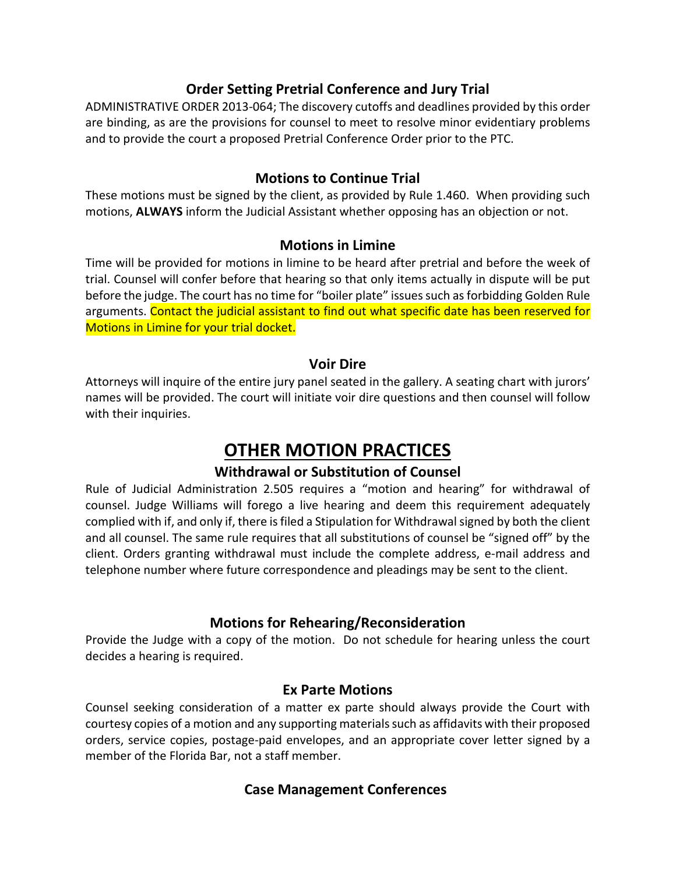#### **Order Setting Pretrial Conference and Jury Trial**

ADMINISTRATIVE ORDER 2013-064; The discovery cutoffs and deadlines provided by this order are binding, as are the provisions for counsel to meet to resolve minor evidentiary problems and to provide the court a proposed Pretrial Conference Order prior to the PTC.

#### **Motions to Continue Trial**

These motions must be signed by the client, as provided by Rule 1.460. When providing such motions, **ALWAYS** inform the Judicial Assistant whether opposing has an objection or not.

#### **Motions in Limine**

Time will be provided for motions in limine to be heard after pretrial and before the week of trial. Counsel will confer before that hearing so that only items actually in dispute will be put before the judge. The court has no time for "boiler plate" issues such as forbidding Golden Rule arguments. Contact the judicial assistant to find out what specific date has been reserved for Motions in Limine for your trial docket.

#### **Voir Dire**

Attorneys will inquire of the entire jury panel seated in the gallery. A seating chart with jurors' names will be provided. The court will initiate voir dire questions and then counsel will follow with their inquiries.

## **OTHER MOTION PRACTICES**

#### **Withdrawal or Substitution of Counsel**

Rule of Judicial Administration 2.505 requires a "motion and hearing" for withdrawal of counsel. Judge Williams will forego a live hearing and deem this requirement adequately complied with if, and only if, there is filed a Stipulation for Withdrawal signed by both the client and all counsel. The same rule requires that all substitutions of counsel be "signed off" by the client. Orders granting withdrawal must include the complete address, e-mail address and telephone number where future correspondence and pleadings may be sent to the client.

#### **Motions for Rehearing/Reconsideration**

Provide the Judge with a copy of the motion. Do not schedule for hearing unless the court decides a hearing is required.

#### **Ex Parte Motions**

Counsel seeking consideration of a matter ex parte should always provide the Court with courtesy copies of a motion and any supporting materials such as affidavits with their proposed orders, service copies, postage-paid envelopes, and an appropriate cover letter signed by a member of the Florida Bar, not a staff member.

#### **Case Management Conferences**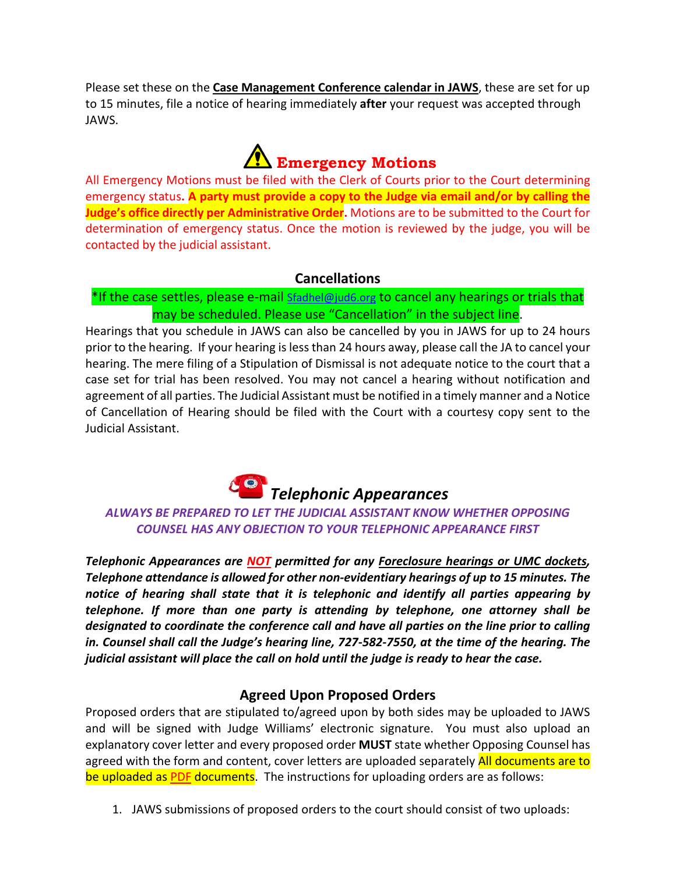Please set these on the **Case Management Conference calendar in JAWS**, these are set for up to 15 minutes, file a notice of hearing immediately **after** your request was accepted through JAWS.

# **Emergency Motions**

All Emergency Motions must be filed with the Clerk of Courts prior to the Court determining emergency status**. A party must provide a copy to the Judge via email and/or by calling the Judge's office directly per Administrative Order.** Motions are to be submitted to the Court for determination of emergency status. Once the motion is reviewed by the judge, you will be contacted by the judicial assistant.

#### **Cancellations**

#### \*If the case settles, please e-mail [Sfadhel@jud6.org](mailto:Sfadhel@jud6.org) to cancel any hearings or trials that may be scheduled. Please use "Cancellation" in the subject line.

Hearings that you schedule in JAWS can also be cancelled by you in JAWS for up to 24 hours prior to the hearing. If your hearing is less than 24 hours away, please call the JA to cancel your hearing. The mere filing of a Stipulation of Dismissal is not adequate notice to the court that a case set for trial has been resolved. You may not cancel a hearing without notification and agreement of all parties. The Judicial Assistant must be notified in a timely manner and a Notice of Cancellation of Hearing should be filed with the Court with a courtesy copy sent to the Judicial Assistant.

# *Telephonic Appearances*

#### *ALWAYS BE PREPARED TO LET THE JUDICIAL ASSISTANT KNOW WHETHER OPPOSING COUNSEL HAS ANY OBJECTION TO YOUR TELEPHONIC APPEARANCE FIRST*

*Telephonic Appearances are NOT permitted for any Foreclosure hearings or UMC dockets, Telephone attendance is allowed for other non-evidentiary hearings of up to 15 minutes. The notice of hearing shall state that it is telephonic and identify all parties appearing by telephone. If more than one party is attending by telephone, one attorney shall be designated to coordinate the conference call and have all parties on the line prior to calling in. Counsel shall call the Judge's hearing line, 727-582-7550, at the time of the hearing. The judicial assistant will place the call on hold until the judge is ready to hear the case.*

#### **Agreed Upon Proposed Orders**

Proposed orders that are stipulated to/agreed upon by both sides may be uploaded to JAWS and will be signed with Judge Williams' electronic signature. You must also upload an explanatory cover letter and every proposed order **MUST** state whether Opposing Counsel has agreed with the form and content, cover letters are uploaded separately All documents are to be uploaded as PDF documents. The instructions for uploading orders are as follows:

1. JAWS submissions of proposed orders to the court should consist of two uploads: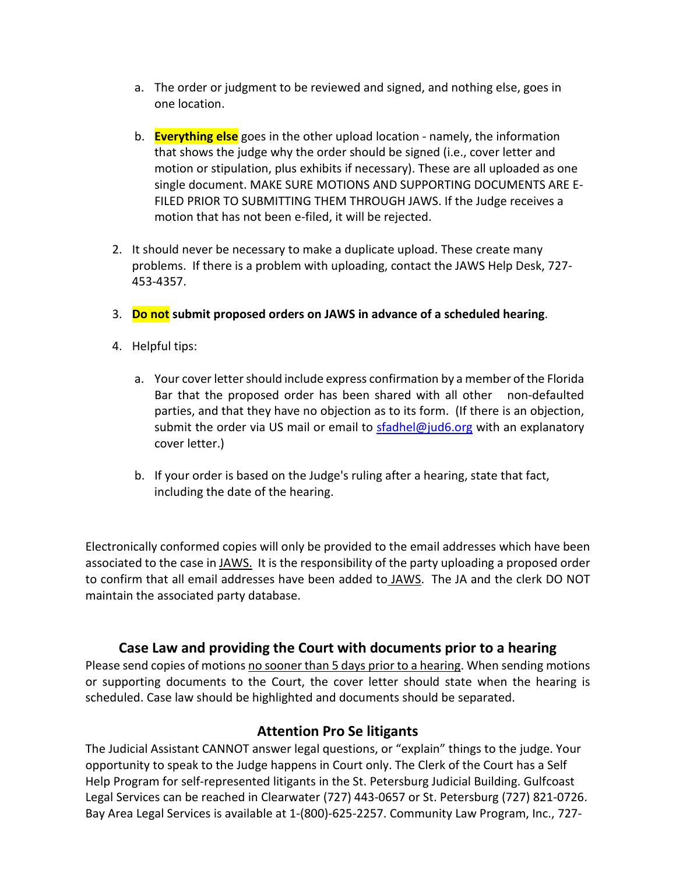- a. The order or judgment to be reviewed and signed, and nothing else, goes in one location.
- b. **Everything else** goes in the other upload location namely, the information that shows the judge why the order should be signed (i.e., cover letter and motion or stipulation, plus exhibits if necessary). These are all uploaded as one single document. MAKE SURE MOTIONS AND SUPPORTING DOCUMENTS ARE E-FILED PRIOR TO SUBMITTING THEM THROUGH JAWS. If the Judge receives a motion that has not been e-filed, it will be rejected.
- 2. It should never be necessary to make a duplicate upload. These create many problems. If there is a problem with uploading, contact the JAWS Help Desk, 727- 453-4357.
- 3. **Do not submit proposed orders on JAWS in advance of a scheduled hearing**.
- 4. Helpful tips:
	- a. Your cover letter should include express confirmation by a member of the Florida Bar that the proposed order has been shared with all other non-defaulted parties, and that they have no objection as to its form. (If there is an objection, submit the order via US mail or email to [sfadhel@jud6.org](mailto:sgioffre@jud6.org) with an explanatory cover letter.)
	- b. If your order is based on the Judge's ruling after a hearing, state that fact, including the date of the hearing.

Electronically conformed copies will only be provided to the email addresses which have been associated to the case in JAWS. It is the responsibility of the party uploading a proposed order to confirm that all email addresses have been added to JAWS. The JA and the clerk DO NOT maintain the associated party database.

#### **Case Law and providing the Court with documents prior to a hearing**

Please send copies of motions no sooner than 5 days prior to a hearing. When sending motions or supporting documents to the Court, the cover letter should state when the hearing is scheduled. Case law should be highlighted and documents should be separated.

#### **Attention Pro Se litigants**

The Judicial Assistant CANNOT answer legal questions, or "explain" things to the judge. Your opportunity to speak to the Judge happens in Court only. The Clerk of the Court has a Self Help Program for self-represented litigants in the St. Petersburg Judicial Building. Gulfcoast Legal Services can be reached in Clearwater (727) 443-0657 or St. Petersburg (727) 821-0726. Bay Area Legal Services is available at 1-(800)-625-2257. Community Law Program, Inc., 727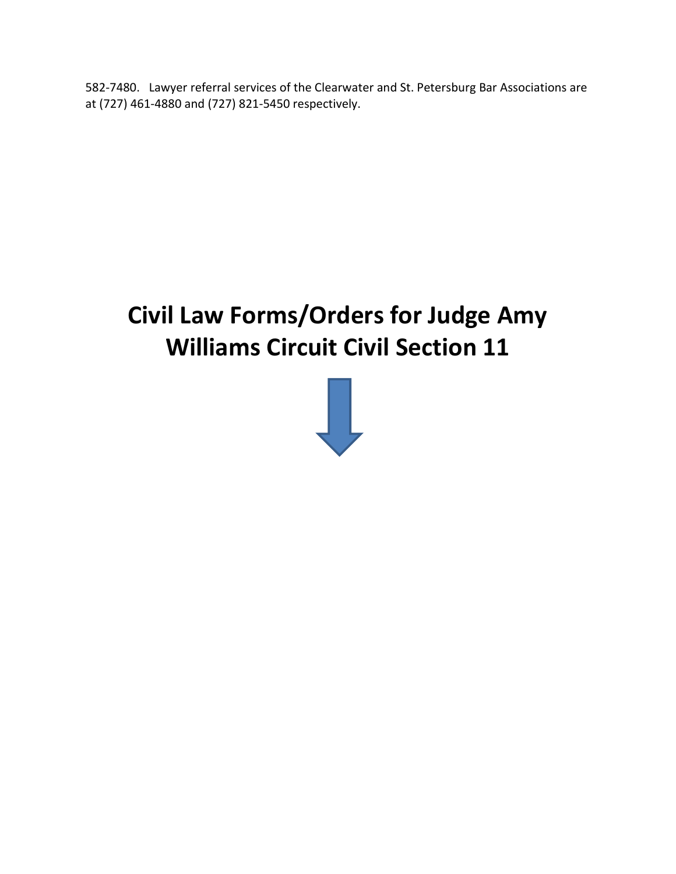582-7480. Lawyer referral services of the Clearwater and St. Petersburg Bar Associations are at (727) 461-4880 and (727) 821-5450 respectively.

# **Civil Law Forms/Orders for Judge Amy Williams Circuit Civil Section 11**

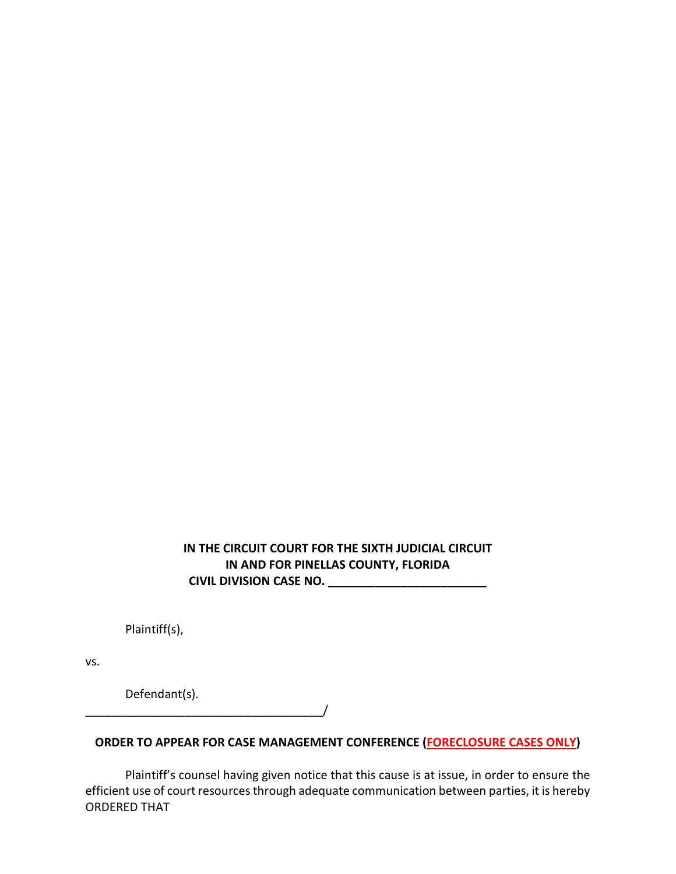#### **IN THE CIRCUIT COURT FOR THE SIXTH JUDICIAL CIRCUIT IN AND FOR PINELLAS COUNTY, FLORIDA CIVIL DIVISION CASE NO. \_\_\_\_\_\_\_\_\_\_\_\_\_\_\_\_\_\_\_\_\_\_\_\_**

Plaintiff(s),

vs.

Defendant(s).

#### **ORDER TO APPEAR FOR CASE MANAGEMENT CONFERENCE (FORECLOSURE CASES ONLY)**

 $\overline{\phantom{a}}$ 

Plaintiff's counsel having given notice that this cause is at issue, in order to ensure the efficient use of court resources through adequate communication between parties, it is hereby ORDERED THAT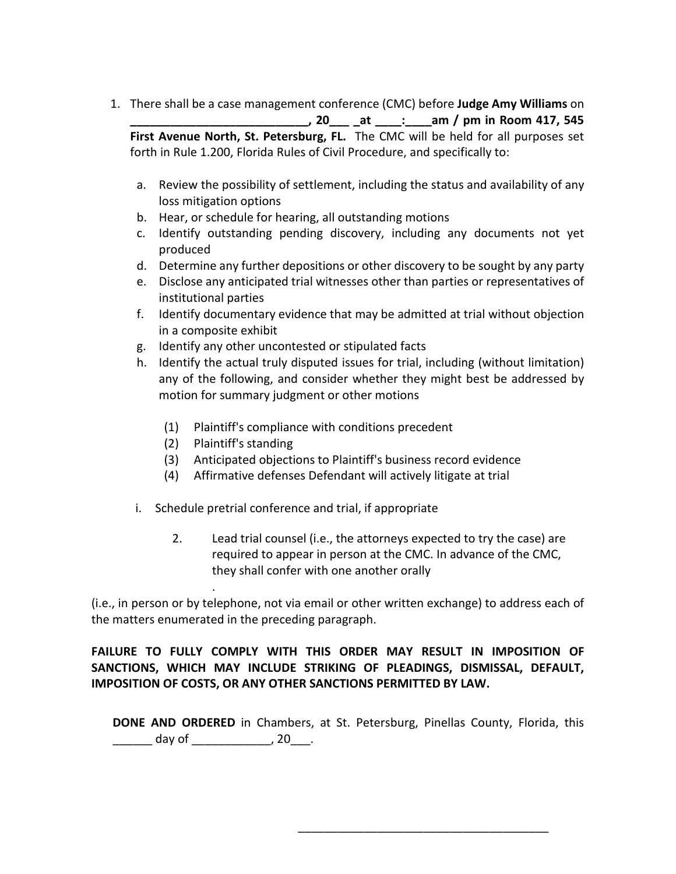- 1. There shall be a case management conference (CMC) before **Judge Amy Williams** on **\_\_\_\_\_\_\_\_\_\_\_\_\_\_\_\_\_\_\_\_\_\_\_\_\_\_\_, 20\_\_\_ \_at \_\_\_\_:\_\_\_\_am / pm in Room 417, 545 First Avenue North, St. Petersburg, FL.** The CMC will be held for all purposes set forth in Rule 1.200, Florida Rules of Civil Procedure, and specifically to:
	- a. Review the possibility of settlement, including the status and availability of any loss mitigation options
	- b. Hear, or schedule for hearing, all outstanding motions
	- c. Identify outstanding pending discovery, including any documents not yet produced
	- d. Determine any further depositions or other discovery to be sought by any party
	- e. Disclose any anticipated trial witnesses other than parties or representatives of institutional parties
	- f. Identify documentary evidence that may be admitted at trial without objection in a composite exhibit
	- g. Identify any other uncontested or stipulated facts
	- h. Identify the actual truly disputed issues for trial, including (without limitation) any of the following, and consider whether they might best be addressed by motion for summary judgment or other motions
		- (1) Plaintiff's compliance with conditions precedent
		- (2) Plaintiff's standing

.

- (3) Anticipated objections to Plaintiff's business record evidence
- (4) Affirmative defenses Defendant will actively litigate at trial
- i. Schedule pretrial conference and trial, if appropriate
	- 2. Lead trial counsel (i.e., the attorneys expected to try the case) are required to appear in person at the CMC. In advance of the CMC, they shall confer with one another orally

(i.e., in person or by telephone, not via email or other written exchange) to address each of the matters enumerated in the preceding paragraph.

#### **FAILURE TO FULLY COMPLY WITH THIS ORDER MAY RESULT IN IMPOSITION OF SANCTIONS, WHICH MAY INCLUDE STRIKING OF PLEADINGS, DISMISSAL, DEFAULT, IMPOSITION OF COSTS, OR ANY OTHER SANCTIONS PERMITTED BY LAW.**

**DONE AND ORDERED** in Chambers, at St. Petersburg, Pinellas County, Florida, this \_\_\_\_\_\_\_\_ day of \_\_\_\_\_\_\_\_\_\_\_\_\_\_\_, 20\_\_\_\_.

\_\_\_\_\_\_\_\_\_\_\_\_\_\_\_\_\_\_\_\_\_\_\_\_\_\_\_\_\_\_\_\_\_\_\_\_\_\_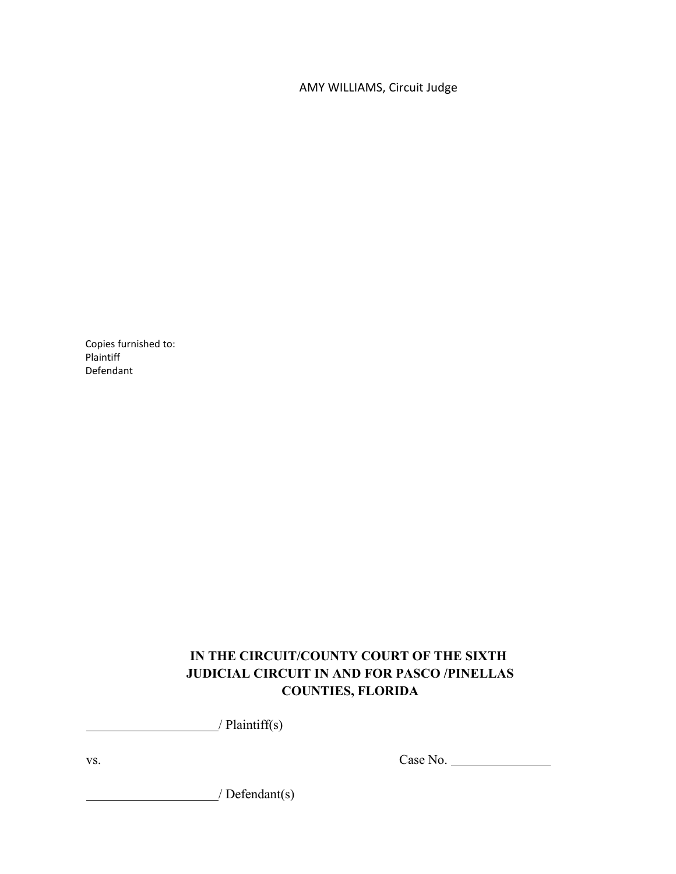AMY WILLIAMS, Circuit Judge

Copies furnished to: Plaintiff Defendant

#### **IN THE CIRCUIT/COUNTY COURT OF THE SIXTH JUDICIAL CIRCUIT IN AND FOR PASCO /PINELLAS COUNTIES, FLORIDA**

/ Plaintiff(s)

vs. Case No.

/ Defendant(s)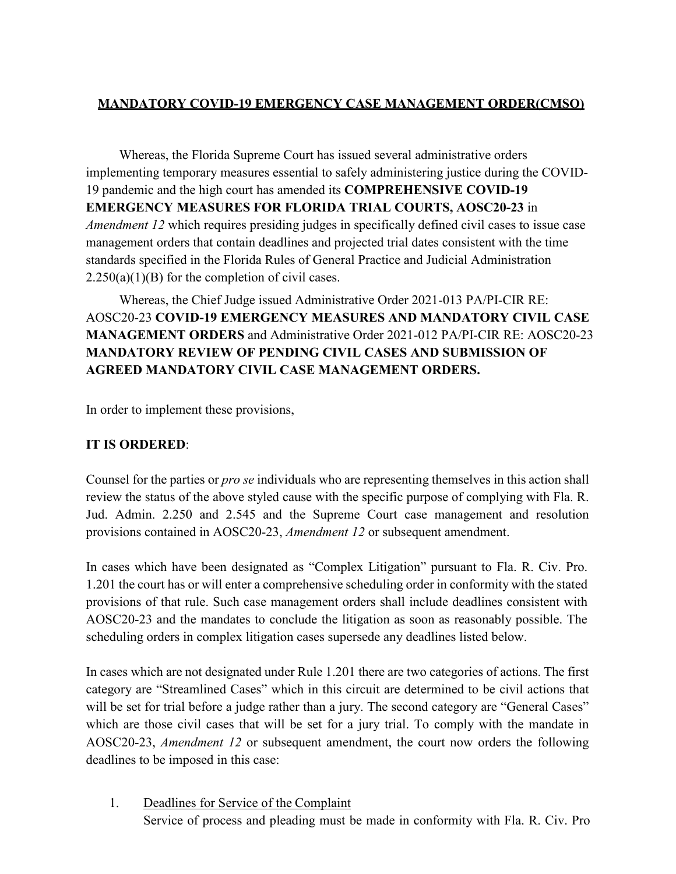#### **MANDATORY COVID-19 EMERGENCY CASE MANAGEMENT ORDER(CMSO)**

Whereas, the Florida Supreme Court has issued several administrative orders implementing temporary measures essential to safely administering justice during the COVID-19 pandemic and the high court has amended its **COMPREHENSIVE COVID-19 EMERGENCY MEASURES FOR FLORIDA TRIAL COURTS, AOSC20-23** in *Amendment 12* which requires presiding judges in specifically defined civil cases to issue case management orders that contain deadlines and projected trial dates consistent with the time standards specified in the Florida Rules of General Practice and Judicial Administration  $2.250(a)(1)(B)$  for the completion of civil cases.

Whereas, the Chief Judge issued Administrative Order 2021-013 PA/PI-CIR RE: AOSC20-23 **COVID-19 EMERGENCY MEASURES AND MANDATORY CIVIL CASE MANAGEMENT ORDERS** and Administrative Order 2021-012 PA/PI-CIR RE: AOSC20-23 **MANDATORY REVIEW OF PENDING CIVIL CASES AND SUBMISSION OF AGREED MANDATORY CIVIL CASE MANAGEMENT ORDERS.**

In order to implement these provisions,

#### **IT IS ORDERED**:

Counsel for the parties or *pro se* individuals who are representing themselves in this action shall review the status of the above styled cause with the specific purpose of complying with Fla. R. Jud. Admin. 2.250 and 2.545 and the Supreme Court case management and resolution provisions contained in AOSC20-23, *Amendment 12* or subsequent amendment.

In cases which have been designated as "Complex Litigation" pursuant to Fla. R. Civ. Pro. 1.201 the court has or will enter a comprehensive scheduling order in conformity with the stated provisions of that rule. Such case management orders shall include deadlines consistent with AOSC20-23 and the mandates to conclude the litigation as soon as reasonably possible. The scheduling orders in complex litigation cases supersede any deadlines listed below.

In cases which are not designated under Rule 1.201 there are two categories of actions. The first category are "Streamlined Cases" which in this circuit are determined to be civil actions that will be set for trial before a judge rather than a jury. The second category are "General Cases" which are those civil cases that will be set for a jury trial. To comply with the mandate in AOSC20-23, *Amendment 12* or subsequent amendment, the court now orders the following deadlines to be imposed in this case:

1. Deadlines for Service of the Complaint Service of process and pleading must be made in conformity with Fla. R. Civ. Pro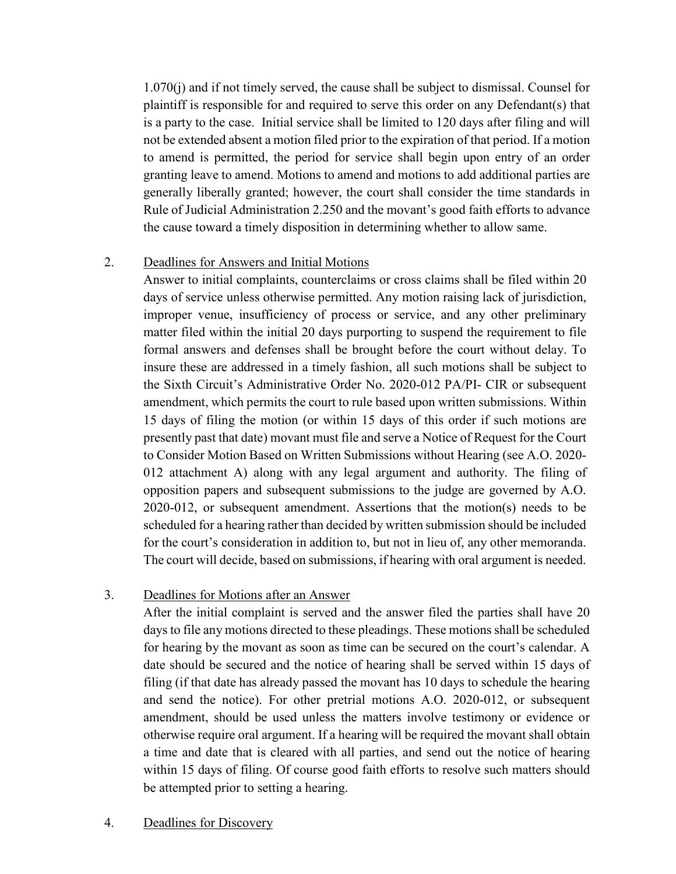1.070(j) and if not timely served, the cause shall be subject to dismissal. Counsel for plaintiff is responsible for and required to serve this order on any Defendant(s) that is a party to the case. Initial service shall be limited to 120 days after filing and will not be extended absent a motion filed prior to the expiration of that period. If a motion to amend is permitted, the period for service shall begin upon entry of an order granting leave to amend. Motions to amend and motions to add additional parties are generally liberally granted; however, the court shall consider the time standards in Rule of Judicial Administration 2.250 and the movant's good faith efforts to advance the cause toward a timely disposition in determining whether to allow same.

#### 2. Deadlines for Answers and Initial Motions

Answer to initial complaints, counterclaims or cross claims shall be filed within 20 days of service unless otherwise permitted. Any motion raising lack of jurisdiction, improper venue, insufficiency of process or service, and any other preliminary matter filed within the initial 20 days purporting to suspend the requirement to file formal answers and defenses shall be brought before the court without delay. To insure these are addressed in a timely fashion, all such motions shall be subject to the Sixth Circuit's Administrative Order No. 2020-012 PA/PI- CIR or subsequent amendment, which permits the court to rule based upon written submissions. Within 15 days of filing the motion (or within 15 days of this order if such motions are presently past that date) movant must file and serve a Notice of Request for the Court to Consider Motion Based on Written Submissions without Hearing (see A.O. 2020- 012 attachment A) along with any legal argument and authority. The filing of opposition papers and subsequent submissions to the judge are governed by A.O. 2020-012, or subsequent amendment. Assertions that the motion(s) needs to be scheduled for a hearing rather than decided by written submission should be included for the court's consideration in addition to, but not in lieu of, any other memoranda. The court will decide, based on submissions, if hearing with oral argument is needed.

#### 3. Deadlines for Motions after an Answer

After the initial complaint is served and the answer filed the parties shall have 20 days to file any motions directed to these pleadings. These motions shall be scheduled for hearing by the movant as soon as time can be secured on the court's calendar. A date should be secured and the notice of hearing shall be served within 15 days of filing (if that date has already passed the movant has 10 days to schedule the hearing and send the notice). For other pretrial motions A.O. 2020-012, or subsequent amendment, should be used unless the matters involve testimony or evidence or otherwise require oral argument. If a hearing will be required the movant shall obtain a time and date that is cleared with all parties, and send out the notice of hearing within 15 days of filing. Of course good faith efforts to resolve such matters should be attempted prior to setting a hearing.

#### 4. Deadlines for Discovery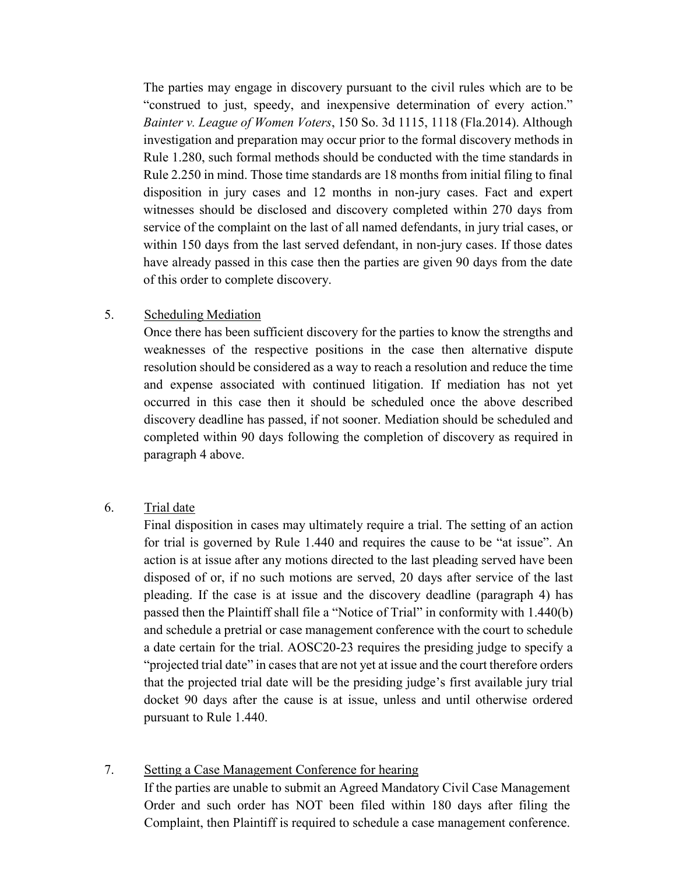The parties may engage in discovery pursuant to the civil rules which are to be "construed to just, speedy, and inexpensive determination of every action." *Bainter v. League of Women Voters*, 150 So. 3d 1115, 1118 (Fla.2014). Although investigation and preparation may occur prior to the formal discovery methods in Rule 1.280, such formal methods should be conducted with the time standards in Rule 2.250 in mind. Those time standards are 18 months from initial filing to final disposition in jury cases and 12 months in non-jury cases. Fact and expert witnesses should be disclosed and discovery completed within 270 days from service of the complaint on the last of all named defendants, in jury trial cases, or within 150 days from the last served defendant, in non-jury cases. If those dates have already passed in this case then the parties are given 90 days from the date of this order to complete discovery.

#### 5. Scheduling Mediation

Once there has been sufficient discovery for the parties to know the strengths and weaknesses of the respective positions in the case then alternative dispute resolution should be considered as a way to reach a resolution and reduce the time and expense associated with continued litigation. If mediation has not yet occurred in this case then it should be scheduled once the above described discovery deadline has passed, if not sooner. Mediation should be scheduled and completed within 90 days following the completion of discovery as required in paragraph 4 above.

#### 6. Trial date

Final disposition in cases may ultimately require a trial. The setting of an action for trial is governed by Rule 1.440 and requires the cause to be "at issue". An action is at issue after any motions directed to the last pleading served have been disposed of or, if no such motions are served, 20 days after service of the last pleading. If the case is at issue and the discovery deadline (paragraph 4) has passed then the Plaintiff shall file a "Notice of Trial" in conformity with 1.440(b) and schedule a pretrial or case management conference with the court to schedule a date certain for the trial. AOSC20-23 requires the presiding judge to specify a "projected trial date" in cases that are not yet at issue and the court therefore orders that the projected trial date will be the presiding judge's first available jury trial docket 90 days after the cause is at issue, unless and until otherwise ordered pursuant to Rule 1.440.

#### 7. Setting a Case Management Conference for hearing

If the parties are unable to submit an Agreed Mandatory Civil Case Management Order and such order has NOT been filed within 180 days after filing the Complaint, then Plaintiff is required to schedule a case management conference.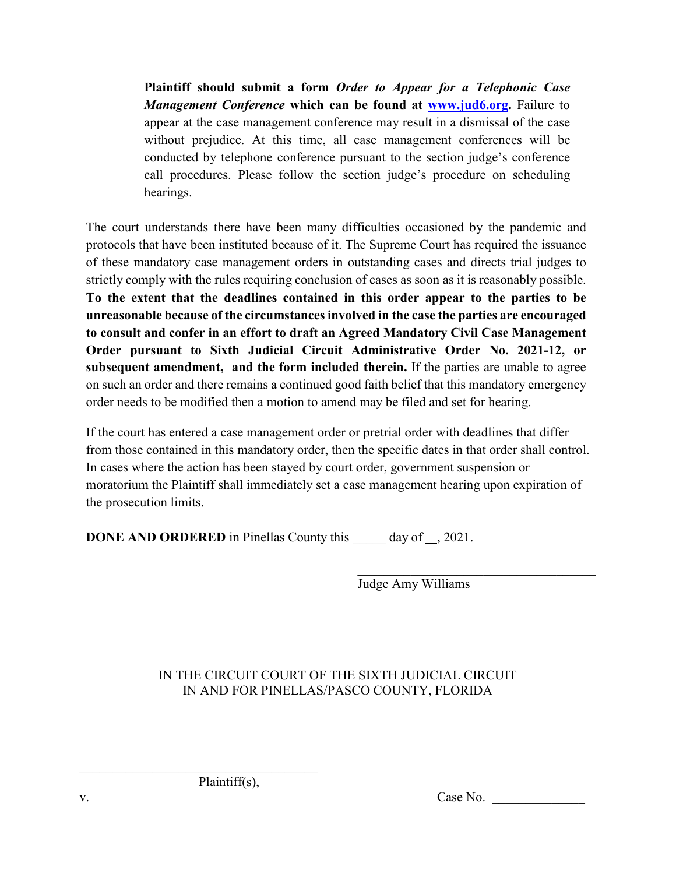**Plaintiff should submit a form** *Order to Appear for a Telephonic Case Management Conference* **which can be found at [www.jud6.org.](http://www.jud6.org/)** Failure to appear at the case management conference may result in a dismissal of the case without prejudice. At this time, all case management conferences will be conducted by telephone conference pursuant to the section judge's conference call procedures. Please follow the section judge's procedure on scheduling hearings.

The court understands there have been many difficulties occasioned by the pandemic and protocols that have been instituted because of it. The Supreme Court has required the issuance of these mandatory case management orders in outstanding cases and directs trial judges to strictly comply with the rules requiring conclusion of cases as soon as it is reasonably possible. **To the extent that the deadlines contained in this order appear to the parties to be unreasonable because of the circumstances involved in the case the parties are encouraged to consult and confer in an effort to draft an Agreed Mandatory Civil Case Management Order pursuant to Sixth Judicial Circuit Administrative Order No. 2021-12, or subsequent amendment, and the form included therein.** If the parties are unable to agree on such an order and there remains a continued good faith belief that this mandatory emergency order needs to be modified then a motion to amend may be filed and set for hearing.

If the court has entered a case management order or pretrial order with deadlines that differ from those contained in this mandatory order, then the specific dates in that order shall control. In cases where the action has been stayed by court order, government suspension or moratorium the Plaintiff shall immediately set a case management hearing upon expiration of the prosecution limits.

**DONE AND ORDERED** in Pinellas County this day of , 2021.

Judge Amy Williams

#### IN THE CIRCUIT COURT OF THE SIXTH JUDICIAL CIRCUIT IN AND FOR PINELLAS/PASCO COUNTY, FLORIDA

Plaintiff(s),

 $\_$ 

v. Case No.

 $\overline{\phantom{a}}$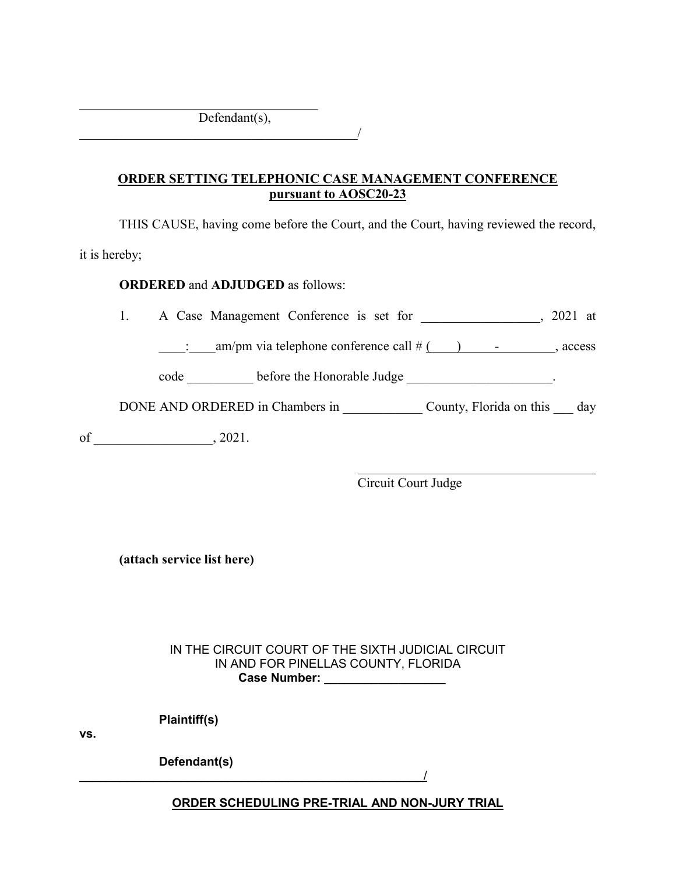Defendant(s),

 $\overline{\phantom{a}}$ 

 $\overline{\phantom{a}}$ 

#### **ORDER SETTING TELEPHONIC CASE MANAGEMENT CONFERENCE pursuant to AOSC20-23**

THIS CAUSE, having come before the Court, and the Court, having reviewed the record, it is hereby;

**ORDERED** and **ADJUDGED** as follows:

1. A Case Management Conference is set for \_\_\_\_\_\_\_\_\_\_\_\_\_\_, 2021 at

 $\therefore$  am/pm via telephone conference call #  $($  ) - , access

code \_\_\_\_\_\_\_\_\_\_ before the Honorable Judge \_\_\_\_\_\_\_\_\_\_\_\_\_\_\_\_\_\_\_\_\_\_.

DONE AND ORDERED in Chambers in \_\_\_\_\_\_\_\_\_\_\_\_\_ County, Florida on this \_\_\_ day

of \_\_\_\_\_\_\_\_\_\_\_\_\_\_\_\_\_\_, 2021.

 $\overline{a}$ Circuit Court Judge

**(attach service list here)**

IN THE CIRCUIT COURT OF THE SIXTH JUDICIAL CIRCUIT IN AND FOR PINELLAS COUNTY, FLORIDA  **Case Number: \_\_\_\_\_\_\_\_\_\_\_\_\_\_\_\_\_\_**

 **Plaintiff(s)** 

**vs.**

 **Defendant(s)**

**ORDER SCHEDULING PRE-TRIAL AND NON-JURY TRIAL** 

 $\overline{\phantom{a}}$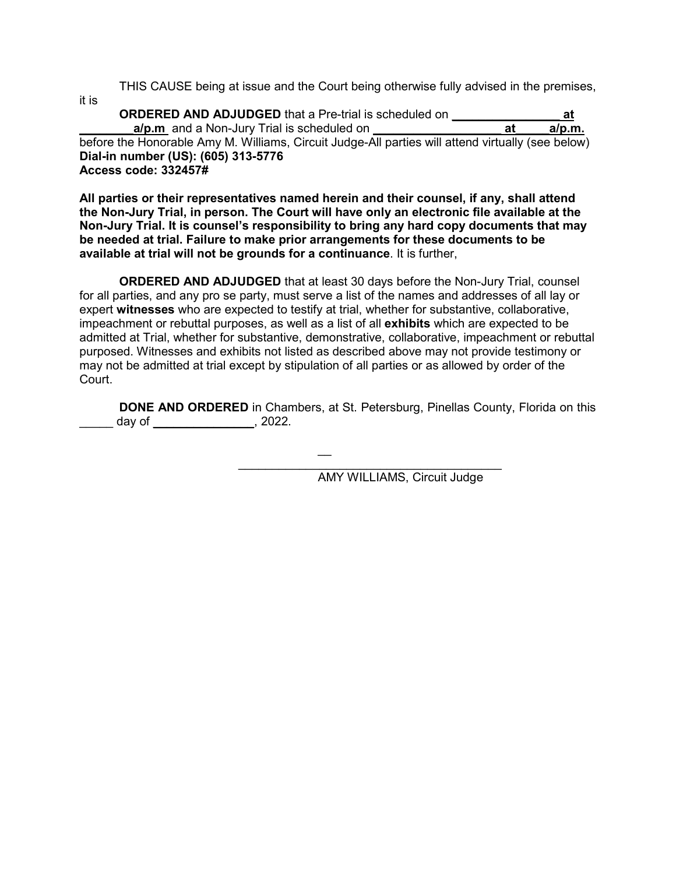THIS CAUSE being at issue and the Court being otherwise fully advised in the premises,

it is

**ORDERED AND ADJUDGED** that a Pre-trial is scheduled on **\_\_\_\_\_\_\_\_\_\_\_\_\_\_\_\_ at a/p.m** and a Non-Jury Trial is scheduled on before the Honorable Amy M. Williams, Circuit Judge-All parties will attend virtually (see below) **Dial-in number (US): (605) 313-5776 Access code: 332457#**

**All parties or their representatives named herein and their counsel, if any, shall attend the Non-Jury Trial, in person. The Court will have only an electronic file available at the Non-Jury Trial. It is counsel's responsibility to bring any hard copy documents that may be needed at trial. Failure to make prior arrangements for these documents to be available at trial will not be grounds for a continuance**. It is further,

**ORDERED AND ADJUDGED** that at least 30 days before the Non-Jury Trial, counsel for all parties, and any pro se party, must serve a list of the names and addresses of all lay or expert **witnesses** who are expected to testify at trial, whether for substantive, collaborative, impeachment or rebuttal purposes, as well as a list of all **exhibits** which are expected to be admitted at Trial, whether for substantive, demonstrative, collaborative, impeachment or rebuttal purposed. Witnesses and exhibits not listed as described above may not provide testimony or may not be admitted at trial except by stipulation of all parties or as allowed by order of the Court.

\_\_

**DONE AND ORDERED** in Chambers, at St. Petersburg, Pinellas County, Florida on this  $day of$ , 2022.

 $\mathcal{L}_\mathcal{L}$  , which is a set of the set of the set of the set of the set of the set of the set of the set of the set of the set of the set of the set of the set of the set of the set of the set of the set of the set of AMY WILLIAMS, Circuit Judge